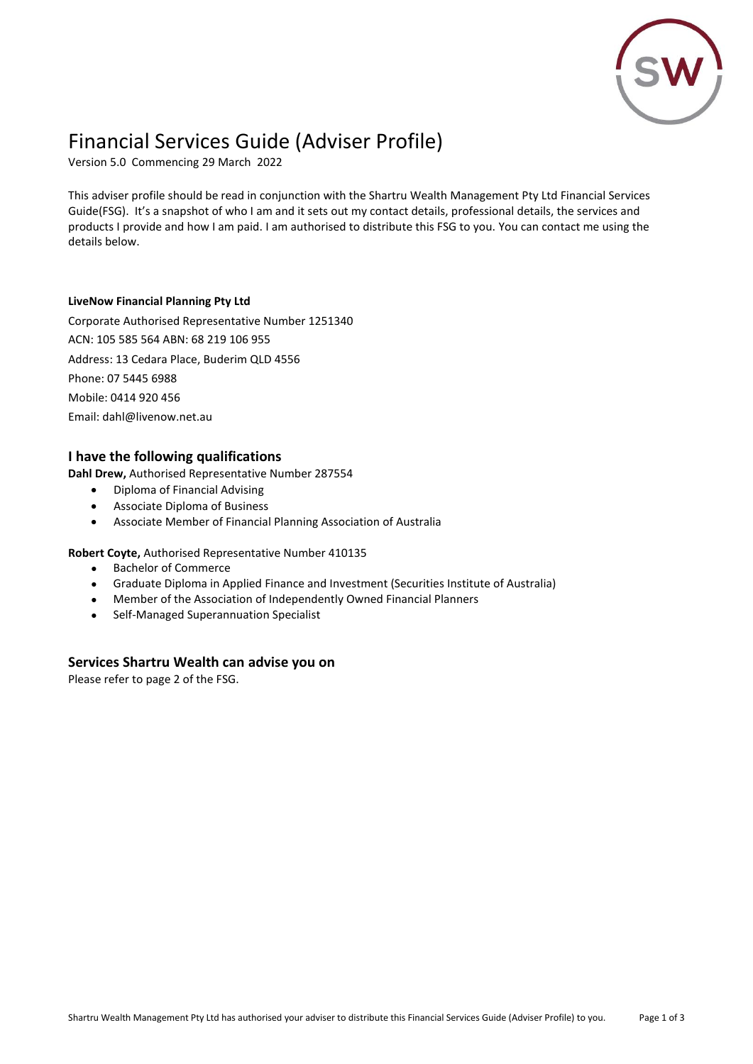

# Financial Services Guide (Adviser Profile)

Version 5.0 Commencing 29 March 2022

This adviser profile should be read in conjunction with the Shartru Wealth Management Pty Ltd Financial Services Guide(FSG). It's a snapshot of who I am and it sets out my contact details, professional details, the services and products I provide and how I am paid. I am authorised to distribute this FSG to you. You can contact me using the details below.

#### **LiveNow Financial Planning Pty Ltd**

Corporate Authorised Representative Number 1251340 ACN: 105 585 564 ABN: 68 219 106 955 Address: 13 Cedara Place, Buderim QLD 4556 Phone: 07 5445 6988 Mobile: 0414 920 456 Email: dahl@livenow.net.au

### **I have the following qualifications**

**Dahl Drew,** Authorised Representative Number 287554

- Diploma of Financial Advising
- Associate Diploma of Business
- Associate Member of Financial Planning Association of Australia

#### **Robert Coyte,** Authorised Representative Number 410135

- Bachelor of Commerce
- Graduate Diploma in Applied Finance and Investment (Securities Institute of Australia)
- Member of the Association of Independently Owned Financial Planners
- Self-Managed Superannuation Specialist

#### **Services Shartru Wealth can advise you on**

Please refer to page 2 of the FSG.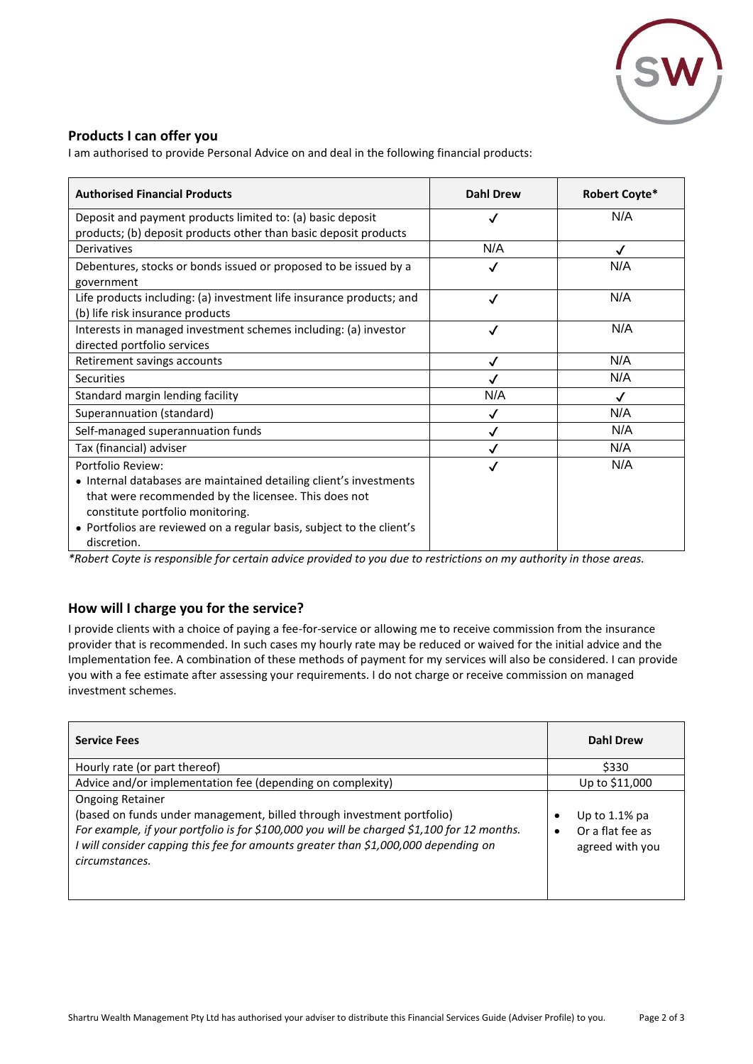

## **Products I can offer you**

I am authorised to provide Personal Advice on and deal in the following financial products:

| <b>Authorised Financial Products</b>                                                                                                                                                                                                                                        | <b>Dahl Drew</b> | Robert Coyte* |
|-----------------------------------------------------------------------------------------------------------------------------------------------------------------------------------------------------------------------------------------------------------------------------|------------------|---------------|
| Deposit and payment products limited to: (a) basic deposit                                                                                                                                                                                                                  | √                | N/A           |
| products; (b) deposit products other than basic deposit products                                                                                                                                                                                                            |                  |               |
| Derivatives                                                                                                                                                                                                                                                                 | N/A              | √             |
| Debentures, stocks or bonds issued or proposed to be issued by a<br>government                                                                                                                                                                                              | √                | N/A           |
| Life products including: (a) investment life insurance products; and<br>(b) life risk insurance products                                                                                                                                                                    | √                | N/A           |
| Interests in managed investment schemes including: (a) investor<br>directed portfolio services                                                                                                                                                                              | √                | N/A           |
| Retirement savings accounts                                                                                                                                                                                                                                                 | √                | N/A           |
| Securities                                                                                                                                                                                                                                                                  |                  | N/A           |
| Standard margin lending facility                                                                                                                                                                                                                                            | N/A              | $\checkmark$  |
| Superannuation (standard)                                                                                                                                                                                                                                                   | ✓                | N/A           |
| Self-managed superannuation funds                                                                                                                                                                                                                                           | √                | N/A           |
| Tax (financial) adviser                                                                                                                                                                                                                                                     |                  | N/A           |
| Portfolio Review:<br>• Internal databases are maintained detailing client's investments<br>that were recommended by the licensee. This does not<br>constitute portfolio monitoring.<br>• Portfolios are reviewed on a regular basis, subject to the client's<br>discretion. | ✓                | N/A           |

*\*Robert Coyte is responsible for certain advice provided to you due to restrictions on my authority in those areas.*

## **How will I charge you for the service?**

I provide clients with a choice of paying a fee-for-service or allowing me to receive commission from the insurance provider that is recommended. In such cases my hourly rate may be reduced or waived for the initial advice and the Implementation fee. A combination of these methods of payment for my services will also be considered. I can provide you with a fee estimate after assessing your requirements. I do not charge or receive commission on managed investment schemes.

| <b>Service Fees</b>                                                                                                                                                                                                                                                                                     | <b>Dahl Drew</b>                                                          |
|---------------------------------------------------------------------------------------------------------------------------------------------------------------------------------------------------------------------------------------------------------------------------------------------------------|---------------------------------------------------------------------------|
| Hourly rate (or part thereof)                                                                                                                                                                                                                                                                           | \$330                                                                     |
| Advice and/or implementation fee (depending on complexity)                                                                                                                                                                                                                                              | Up to \$11,000                                                            |
| <b>Ongoing Retainer</b><br>(based on funds under management, billed through investment portfolio)<br>For example, if your portfolio is for \$100,000 you will be charged \$1,100 for 12 months.<br>I will consider capping this fee for amounts greater than \$1,000,000 depending on<br>circumstances. | Up to $1.1\%$ pa<br>٠<br>Or a flat fee as<br>$\bullet$<br>agreed with you |